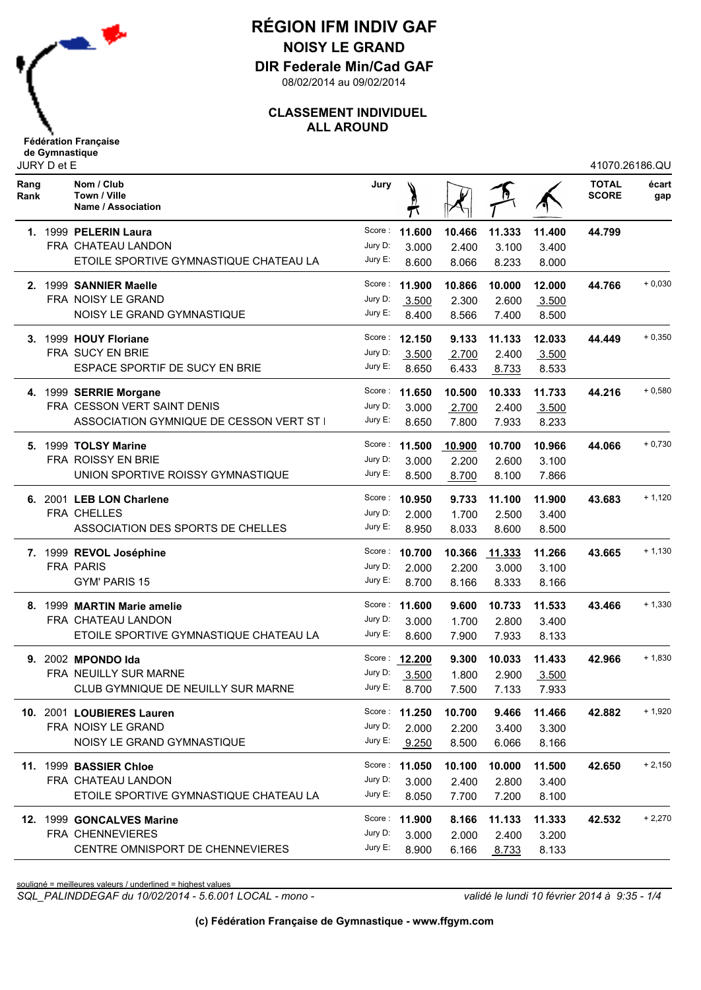

**DIR Federale Min/Cad GAF**

08/02/2014 au 09/02/2014

### **CLASSEMENT INDIVIDUEL ALL AROUND**

|              | JURY D et E |                                                  |         |               |        |        |        | 41070.26186.QU               |              |  |  |
|--------------|-------------|--------------------------------------------------|---------|---------------|--------|--------|--------|------------------------------|--------------|--|--|
| Rang<br>Rank |             | Nom / Club<br>Town / Ville<br>Name / Association | Jury    |               |        |        |        | <b>TOTAL</b><br><b>SCORE</b> | écart<br>gap |  |  |
|              |             | 1. 1999 PELERIN Laura                            | Score:  | 11.600        | 10.466 | 11.333 | 11.400 | 44.799                       |              |  |  |
|              |             | FRA CHATEAU LANDON                               | Jury D: | 3.000         | 2.400  | 3.100  | 3.400  |                              |              |  |  |
|              |             | ETOILE SPORTIVE GYMNASTIQUE CHATEAU LA           | Jury E: | 8.600         | 8.066  | 8.233  | 8.000  |                              |              |  |  |
|              |             | 2. 1999 SANNIER Maelle                           |         | Score: 11.900 | 10.866 | 10.000 | 12.000 | 44.766                       | $+0,030$     |  |  |
|              |             | FRA NOISY LE GRAND                               | Jury D: | 3.500         | 2.300  | 2.600  | 3.500  |                              |              |  |  |
|              |             | NOISY LE GRAND GYMNASTIQUE                       | Jury E: | 8.400         | 8.566  | 7.400  | 8.500  |                              |              |  |  |
|              |             | 3. 1999 HOUY Floriane                            |         | Score: 12,150 | 9.133  | 11.133 | 12.033 | 44.449                       | $+0,350$     |  |  |
|              |             | FRA SUCY EN BRIE                                 | Jury D: | 3.500         | 2.700  | 2.400  | 3.500  |                              |              |  |  |
|              |             | ESPACE SPORTIF DE SUCY EN BRIE                   | Jury E: | 8.650         | 6.433  | 8.733  | 8.533  |                              |              |  |  |
|              |             | 4. 1999 SERRIE Morgane                           | Score : | 11.650        | 10.500 | 10.333 | 11.733 | 44.216                       | $+0,580$     |  |  |
|              |             | FRA CESSON VERT SAINT DENIS                      | Jury D: | 3.000         | 2.700  | 2.400  | 3.500  |                              |              |  |  |
|              |             | ASSOCIATION GYMNIQUE DE CESSON VERT ST I         | Jury E: | 8.650         | 7.800  | 7.933  | 8.233  |                              |              |  |  |
|              |             | 5. 1999 TOLSY Marine                             | Score:  | 11.500        | 10.900 | 10.700 | 10.966 | 44.066                       | $+0,730$     |  |  |
|              |             | FRA ROISSY EN BRIE                               | Jury D: | 3.000         | 2.200  | 2.600  | 3.100  |                              |              |  |  |
|              |             | UNION SPORTIVE ROISSY GYMNASTIQUE                | Jury E: | 8.500         | 8.700  | 8.100  | 7.866  |                              |              |  |  |
|              |             | 6. 2001 LEB LON Charlene                         | Score : | 10.950        | 9.733  | 11.100 | 11.900 | 43.683                       | $+1,120$     |  |  |
|              |             | FRA CHELLES                                      | Jury D: | 2.000         | 1.700  | 2.500  | 3.400  |                              |              |  |  |
|              |             | ASSOCIATION DES SPORTS DE CHELLES                | Jury E: | 8.950         | 8.033  | 8.600  | 8.500  |                              |              |  |  |
|              |             | 7. 1999 REVOL Joséphine                          | Score : | 10.700        | 10.366 | 11.333 | 11.266 | 43.665                       | $+1,130$     |  |  |
|              |             | <b>FRA PARIS</b>                                 | Jury D: | 2.000         | 2.200  | 3.000  | 3.100  |                              |              |  |  |
|              |             | GYM' PARIS 15                                    | Jury E: | 8.700         | 8.166  | 8.333  | 8.166  |                              |              |  |  |
|              |             | 8. 1999 MARTIN Marie amelie                      | Score : | 11.600        | 9.600  | 10.733 | 11.533 | 43.466                       | $+1,330$     |  |  |
|              |             | FRA CHATEAU LANDON                               | Jury D: | 3.000         | 1.700  | 2.800  | 3.400  |                              |              |  |  |
|              |             | ETOILE SPORTIVE GYMNASTIQUE CHATEAU LA           | Jury E: | 8.600         | 7.900  | 7.933  | 8.133  |                              |              |  |  |
|              |             | 9. 2002 MPONDO Ida                               |         | Score: 12.200 | 9.300  | 10.033 | 11.433 | 42.966                       | $+1,830$     |  |  |
|              |             | FRA NEUILLY SUR MARNE                            | Jury D: | 3.500         | 1.800  | 2.900  | 3.500  |                              |              |  |  |
|              |             | CLUB GYMNIQUE DE NEUILLY SUR MARNE               | Jury E: | 8.700         | 7.500  | 7.133  | 7.933  |                              |              |  |  |
|              |             | 10. 2001 LOUBIERES Lauren                        |         | Score: 11.250 | 10.700 | 9.466  | 11.466 | 42.882                       | $+1,920$     |  |  |
|              |             | FRA NOISY LE GRAND                               | Jury D: | 2.000         | 2.200  | 3.400  | 3.300  |                              |              |  |  |
|              |             | NOISY LE GRAND GYMNASTIQUE                       | Jury E: | 9.250         | 8.500  | 6.066  | 8.166  |                              |              |  |  |
|              |             | 11. 1999 BASSIER Chloe                           |         | Score: 11.050 | 10.100 | 10.000 | 11.500 | 42.650                       | $+2,150$     |  |  |
|              |             | FRA CHATEAU LANDON                               | Jury D: | 3.000         | 2.400  | 2.800  | 3.400  |                              |              |  |  |
|              |             | ETOILE SPORTIVE GYMNASTIQUE CHATEAU LA           | Jury E: | 8.050         | 7.700  | 7.200  | 8.100  |                              |              |  |  |
|              |             | 12. 1999 GONCALVES Marine                        |         | Score: 11.900 | 8.166  | 11.133 | 11.333 | 42.532                       | $+2,270$     |  |  |
|              |             | FRA CHENNEVIERES                                 | Jury D: | 3.000         | 2.000  | 2.400  | 3.200  |                              |              |  |  |
|              |             | CENTRE OMNISPORT DE CHENNEVIERES                 | Jury E: | 8.900         | 6.166  | 8.733  | 8.133  |                              |              |  |  |

souligné = meilleures valeurs / underlined = highest values

*SQL\_PALINDDEGAF du 10/02/2014 - 5.6.001 LOCAL - mono - validé le lundi 10 février 2014 à 9:35 - 1/4*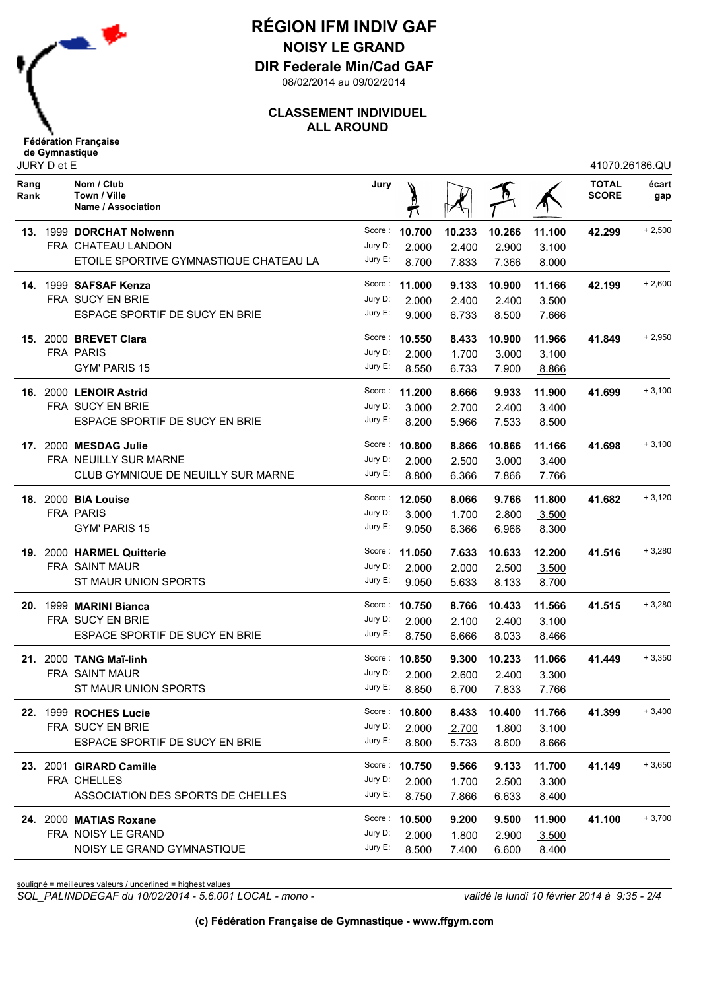

**DIR Federale Min/Cad GAF**

08/02/2014 au 09/02/2014

### **CLASSEMENT INDIVIDUEL ALL AROUND**

|              | JURY D et E |                                                  |         |               | 41070.26186.QU |        |        |                              |              |
|--------------|-------------|--------------------------------------------------|---------|---------------|----------------|--------|--------|------------------------------|--------------|
| Rang<br>Rank |             | Nom / Club<br>Town / Ville<br>Name / Association | Jury    |               |                |        |        | <b>TOTAL</b><br><b>SCORE</b> | écart<br>gap |
|              |             | 13. 1999 DORCHAT Nolwenn                         |         | Score: 10.700 | 10.233         | 10.266 | 11.100 | 42.299                       | $+2,500$     |
|              |             | FRA CHATEAU LANDON                               | Jury D: | 2.000         | 2.400          | 2.900  | 3.100  |                              |              |
|              |             | ETOILE SPORTIVE GYMNASTIQUE CHATEAU LA           | Jury E: | 8.700         | 7.833          | 7.366  | 8.000  |                              |              |
|              |             | 14. 1999 SAFSAF Kenza                            |         | Score: 11.000 | 9.133          | 10.900 | 11.166 | 42.199                       | $+2,600$     |
|              |             | FRA SUCY EN BRIE                                 | Jury D: | 2.000         | 2.400          | 2.400  | 3.500  |                              |              |
|              |             | ESPACE SPORTIF DE SUCY EN BRIE                   | Jury E: | 9.000         | 6.733          | 8.500  | 7.666  |                              |              |
|              |             | 15. 2000 BREVET Clara                            |         | Score: 10.550 | 8.433          | 10.900 | 11.966 | 41.849                       | $+2,950$     |
|              |             | <b>FRA PARIS</b>                                 | Jury D: | 2.000         | 1.700          | 3.000  | 3.100  |                              |              |
|              |             | <b>GYM' PARIS 15</b>                             | Jury E: | 8.550         | 6.733          | 7.900  | 8.866  |                              |              |
|              |             | 16. 2000 LENOIR Astrid                           |         | Score: 11.200 | 8.666          | 9.933  | 11.900 | 41.699                       | $+3,100$     |
|              |             | FRA SUCY EN BRIE                                 | Jury D: | 3.000         | 2.700          | 2.400  | 3.400  |                              |              |
|              |             | ESPACE SPORTIF DE SUCY EN BRIE                   | Jury E: | 8.200         | 5.966          | 7.533  | 8.500  |                              |              |
|              |             | 17. 2000 MESDAG Julie                            |         | Score: 10.800 | 8.866          | 10.866 | 11.166 | 41.698                       | $+3,100$     |
|              |             | <b>FRA NEUILLY SUR MARNE</b>                     | Jury D: | 2.000         | 2.500          | 3.000  | 3.400  |                              |              |
|              |             | CLUB GYMNIQUE DE NEUILLY SUR MARNE               | Jury E: | 8.800         | 6.366          | 7.866  | 7.766  |                              |              |
|              |             | <b>18. 2000 BIA Louise</b>                       |         | Score: 12.050 | 8.066          | 9.766  | 11.800 | 41.682                       | $+3,120$     |
|              |             | <b>FRA PARIS</b>                                 | Jury D: | 3.000         | 1.700          | 2.800  | 3.500  |                              |              |
|              |             | <b>GYM' PARIS 15</b>                             | Jury E: | 9.050         | 6.366          | 6.966  | 8.300  |                              |              |
|              |             | 19. 2000 HARMEL Quitterie                        |         | Score: 11.050 | 7.633          | 10.633 | 12.200 | 41.516                       | $+3,280$     |
|              |             | FRA SAINT MAUR                                   | Jury D: | 2.000         | 2.000          | 2.500  | 3.500  |                              |              |
|              |             | ST MAUR UNION SPORTS                             | Jury E: | 9.050         | 5.633          | 8.133  | 8.700  |                              |              |
|              |             | 20. 1999 MARINI Bianca                           |         | Score: 10.750 | 8.766          | 10.433 | 11.566 | 41.515                       | $+3,280$     |
|              |             | <b>FRA SUCY EN BRIE</b>                          | Jury D: | 2.000         | 2.100          | 2.400  | 3.100  |                              |              |
|              |             | ESPACE SPORTIF DE SUCY EN BRIE                   | Jury E: | 8.750         | 6.666          | 8.033  | 8.466  |                              |              |
|              |             | <b>21. 2000 TANG Maï-linh</b>                    |         | Score: 10.850 | 9.300          | 10.233 | 11.066 | 41.449                       | $+3,350$     |
|              |             | FRA SAINT MAUR                                   | Jury D: | 2.000         | 2.600          | 2.400  | 3.300  |                              |              |
|              |             | ST MAUR UNION SPORTS                             |         | Jury E: 8.850 | 6.700          | 7.833  | 7.766  |                              |              |
|              |             | 22. 1999 ROCHES Lucie                            |         | Score: 10.800 | 8.433          | 10.400 | 11.766 | 41.399                       | $+3,400$     |
|              |             | FRA SUCY EN BRIE                                 | Jury D: | 2.000         | 2.700          | 1.800  | 3.100  |                              |              |
|              |             | ESPACE SPORTIF DE SUCY EN BRIE                   | Jury E: | 8.800         | 5.733          | 8.600  | 8.666  |                              |              |
|              |             | 23. 2001 GIRARD Camille                          |         | Score: 10.750 | 9.566          | 9.133  | 11.700 | 41.149                       | $+3,650$     |
|              |             | FRA CHELLES                                      |         | Jury D: 2.000 | 1.700          | 2.500  | 3.300  |                              |              |
|              |             | ASSOCIATION DES SPORTS DE CHELLES                |         | Jury E: 8.750 | 7.866          | 6.633  | 8.400  |                              |              |
|              |             | 24. 2000 MATIAS Roxane                           |         | Score: 10.500 | 9.200          | 9.500  | 11.900 | 41.100                       | $+3,700$     |
|              |             | FRA NOISY LE GRAND                               | Jury D: | 2.000         | 1.800          | 2.900  | 3.500  |                              |              |
|              |             | NOISY LE GRAND GYMNASTIQUE                       | Jury E: | 8.500         | 7.400          | 6.600  | 8.400  |                              |              |

souligné = meilleures valeurs / underlined = highest values

*SQL\_PALINDDEGAF du 10/02/2014 - 5.6.001 LOCAL - mono - validé le lundi 10 février 2014 à 9:35 - 2/4*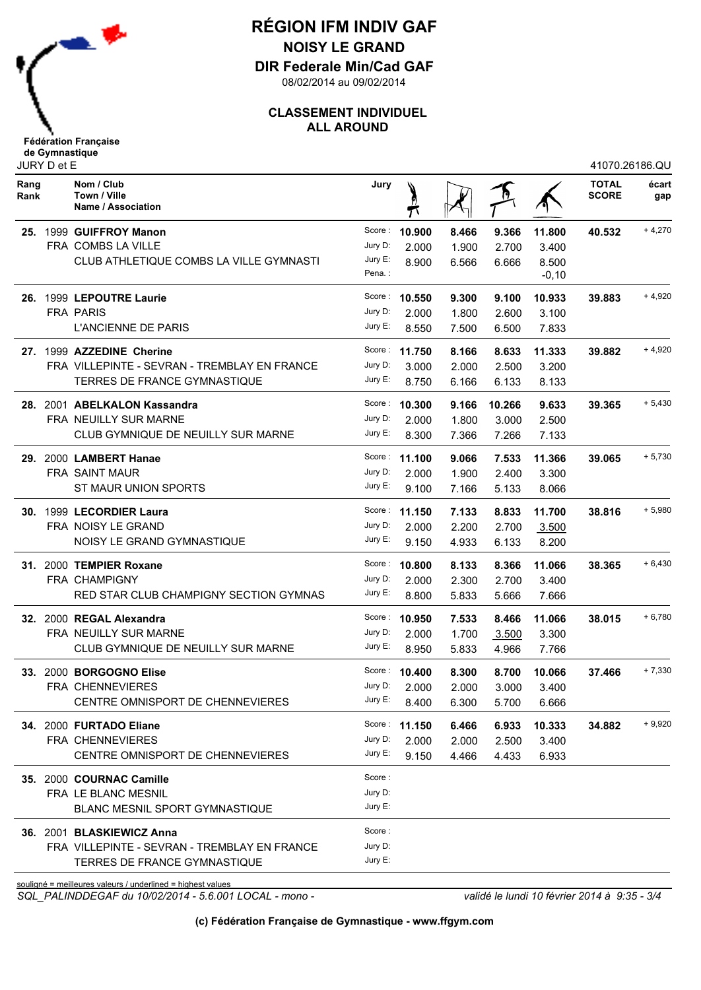

**DIR Federale Min/Cad GAF**

08/02/2014 au 09/02/2014

### **CLASSEMENT INDIVIDUEL ALL AROUND**

| JURY D et E  |  |                                                             |         |               |       |        |         | 41070.26186.QU               |              |  |
|--------------|--|-------------------------------------------------------------|---------|---------------|-------|--------|---------|------------------------------|--------------|--|
| Rang<br>Rank |  | Nom / Club<br>Town / Ville<br>Name / Association            | Jury    |               |       |        |         | <b>TOTAL</b><br><b>SCORE</b> | écart<br>gap |  |
|              |  | 25. 1999 GUIFFROY Manon                                     |         | Score: 10.900 | 8.466 | 9.366  | 11.800  | 40.532                       | $+4,270$     |  |
|              |  | FRA COMBS LA VILLE                                          | Jury D: | 2.000         | 1.900 | 2.700  | 3.400   |                              |              |  |
|              |  | CLUB ATHLETIQUE COMBS LA VILLE GYMNASTI                     | Jury E: | 8.900         | 6.566 | 6.666  | 8.500   |                              |              |  |
|              |  |                                                             | Pena.:  |               |       |        | $-0,10$ |                              |              |  |
| 26.          |  | 1999 LEPOUTRE Laurie                                        |         | Score: 10.550 | 9.300 | 9.100  | 10.933  | 39.883                       | $+4,920$     |  |
|              |  | <b>FRA PARIS</b>                                            | Jury D: | 2.000         | 1.800 | 2.600  | 3.100   |                              |              |  |
|              |  | <b>L'ANCIENNE DE PARIS</b>                                  | Jury E: | 8.550         | 7.500 | 6.500  | 7.833   |                              |              |  |
|              |  | 27. 1999 AZZEDINE Cherine                                   |         | Score: 11.750 | 8.166 | 8.633  | 11.333  | 39.882                       | $+4,920$     |  |
|              |  | FRA VILLEPINTE - SEVRAN - TREMBLAY EN FRANCE                | Jury D: | 3.000         | 2.000 | 2.500  | 3.200   |                              |              |  |
|              |  | TERRES DE FRANCE GYMNASTIQUE                                | Jury E: | 8.750         | 6.166 | 6.133  | 8.133   |                              |              |  |
|              |  | 28. 2001 ABELKALON Kassandra                                |         | Score: 10.300 | 9.166 | 10.266 | 9.633   | 39.365                       | $+5,430$     |  |
|              |  | FRA NEUILLY SUR MARNE                                       | Jury D: | 2.000         | 1.800 | 3.000  | 2.500   |                              |              |  |
|              |  | CLUB GYMNIQUE DE NEUILLY SUR MARNE                          | Jury E: | 8.300         | 7.366 | 7.266  | 7.133   |                              |              |  |
|              |  | 29. 2000 LAMBERT Hanae                                      |         | Score: 11.100 | 9.066 | 7.533  | 11.366  | 39.065                       | $+5,730$     |  |
|              |  | FRA SAINT MAUR                                              | Jury D: | 2.000         | 1.900 | 2.400  | 3.300   |                              |              |  |
|              |  | ST MAUR UNION SPORTS                                        | Jury E: | 9.100         | 7.166 | 5.133  | 8.066   |                              |              |  |
|              |  |                                                             |         |               |       |        |         |                              |              |  |
|              |  | 30. 1999 LECORDIER Laura                                    |         | Score: 11.150 | 7.133 | 8.833  | 11.700  | 38.816                       | $+5,980$     |  |
|              |  | FRA NOISY LE GRAND                                          | Jury D: | 2.000         | 2.200 | 2.700  | 3.500   |                              |              |  |
|              |  | NOISY LE GRAND GYMNASTIQUE                                  | Jury E: | 9.150         | 4.933 | 6.133  | 8.200   |                              |              |  |
|              |  | 31. 2000 TEMPIER Roxane                                     |         | Score: 10.800 | 8.133 | 8.366  | 11.066  | 38.365                       | $+6,430$     |  |
|              |  | <b>FRA CHAMPIGNY</b>                                        | Jury D: | 2.000         | 2.300 | 2.700  | 3.400   |                              |              |  |
|              |  | RED STAR CLUB CHAMPIGNY SECTION GYMNAS                      | Jury E: | 8.800         | 5.833 | 5.666  | 7.666   |                              |              |  |
|              |  | 32. 2000 REGAL Alexandra                                    |         | Score: 10.950 | 7.533 | 8.466  | 11.066  | 38.015                       | $+6,780$     |  |
|              |  | FRA NEUILLY SUR MARNE                                       | Jury D: | 2.000         | 1.700 | 3.500  | 3.300   |                              |              |  |
|              |  | CLUB GYMNIQUE DE NEUILLY SUR MARNE                          | Jury E: | 8.950         | 5.833 | 4.966  | 7.766   |                              |              |  |
|              |  | 33. 2000 BORGOGNO Elise                                     |         | Score: 10.400 | 8.300 | 8.700  | 10.066  | 37.466                       | $+7,330$     |  |
|              |  | <b>FRA CHENNEVIERES</b>                                     | Jury D: | 2.000         | 2.000 | 3.000  | 3.400   |                              |              |  |
|              |  | CENTRE OMNISPORT DE CHENNEVIERES                            | Jury E: | 8.400         | 6.300 | 5.700  | 6.666   |                              |              |  |
|              |  | 34. 2000 FURTADO Eliane                                     |         | Score: 11.150 | 6.466 | 6.933  | 10.333  | 34.882                       | $+9,920$     |  |
|              |  | <b>FRA CHENNEVIERES</b>                                     | Jury D: | 2.000         | 2.000 | 2.500  | 3.400   |                              |              |  |
|              |  | CENTRE OMNISPORT DE CHENNEVIERES                            | Jury E: | 9.150         | 4.466 | 4.433  | 6.933   |                              |              |  |
|              |  |                                                             | Score:  |               |       |        |         |                              |              |  |
|              |  | 35. 2000 COURNAC Camille<br>FRA LE BLANC MESNIL             | Jury D: |               |       |        |         |                              |              |  |
|              |  | BLANC MESNIL SPORT GYMNASTIQUE                              | Jury E: |               |       |        |         |                              |              |  |
|              |  |                                                             |         |               |       |        |         |                              |              |  |
|              |  | 36. 2001 BLASKIEWICZ Anna                                   | Score:  |               |       |        |         |                              |              |  |
|              |  | FRA VILLEPINTE - SEVRAN - TREMBLAY EN FRANCE                | Jury D: |               |       |        |         |                              |              |  |
|              |  | <b>TERRES DE FRANCE GYMNASTIQUE</b>                         | Jury E: |               |       |        |         |                              |              |  |
|              |  | souligné = meilleures valeurs / underlined = highest values |         |               |       |        |         |                              |              |  |

*SQL\_PALINDDEGAF du 10/02/2014 - 5.6.001 LOCAL - mono - validé le lundi 10 février 2014 à 9:35 - 3/4*